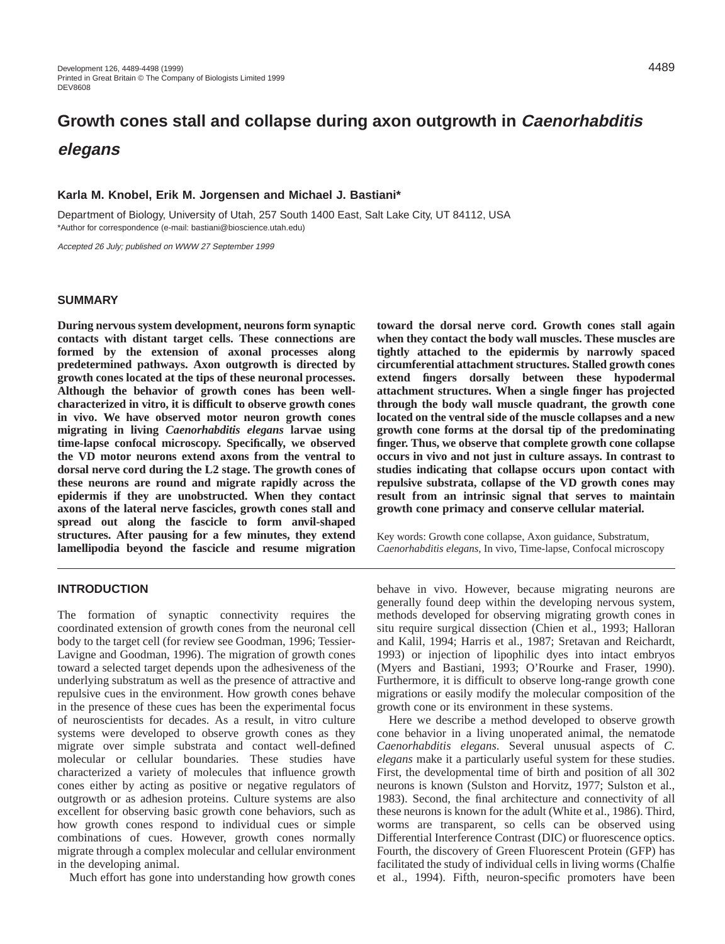# **Growth cones stall and collapse during axon outgrowth in Caenorhabditis elegans**

## **Karla M. Knobel, Erik M. Jorgensen and Michael J. Bastiani\***

Department of Biology, University of Utah, 257 South 1400 East, Salt Lake City, UT 84112, USA \*Author for correspondence (e-mail: bastiani@bioscience.utah.edu)

Accepted 26 July; published on WWW 27 September 1999

## **SUMMARY**

**During nervous system development, neurons form synaptic contacts with distant target cells. These connections are formed by the extension of axonal processes along predetermined pathways. Axon outgrowth is directed by growth cones located at the tips of these neuronal processes. Although the behavior of growth cones has been wellcharacterized in vitro, it is difficult to observe growth cones in vivo. We have observed motor neuron growth cones migrating in living** *Caenorhabditis elegans* **larvae using time-lapse confocal microscopy. Specifically, we observed the VD motor neurons extend axons from the ventral to dorsal nerve cord during the L2 stage. The growth cones of these neurons are round and migrate rapidly across the epidermis if they are unobstructed. When they contact axons of the lateral nerve fascicles, growth cones stall and spread out along the fascicle to form anvil-shaped structures. After pausing for a few minutes, they extend lamellipodia beyond the fascicle and resume migration**

#### **INTRODUCTION**

The formation of synaptic connectivity requires the coordinated extension of growth cones from the neuronal cell body to the target cell (for review see Goodman, 1996; Tessier-Lavigne and Goodman, 1996). The migration of growth cones toward a selected target depends upon the adhesiveness of the underlying substratum as well as the presence of attractive and repulsive cues in the environment. How growth cones behave in the presence of these cues has been the experimental focus of neuroscientists for decades. As a result, in vitro culture systems were developed to observe growth cones as they migrate over simple substrata and contact well-defined molecular or cellular boundaries. These studies have characterized a variety of molecules that influence growth cones either by acting as positive or negative regulators of outgrowth or as adhesion proteins. Culture systems are also excellent for observing basic growth cone behaviors, such as how growth cones respond to individual cues or simple combinations of cues. However, growth cones normally migrate through a complex molecular and cellular environment in the developing animal.

Much effort has gone into understanding how growth cones

**toward the dorsal nerve cord. Growth cones stall again when they contact the body wall muscles. These muscles are tightly attached to the epidermis by narrowly spaced circumferential attachment structures. Stalled growth cones extend fingers dorsally between these hypodermal attachment structures. When a single finger has projected through the body wall muscle quadrant, the growth cone located on the ventral side of the muscle collapses and a new growth cone forms at the dorsal tip of the predominating finger. Thus, we observe that complete growth cone collapse occurs in vivo and not just in culture assays. In contrast to studies indicating that collapse occurs upon contact with repulsive substrata, collapse of the VD growth cones may result from an intrinsic signal that serves to maintain growth cone primacy and conserve cellular material.**

Key words: Growth cone collapse, Axon guidance, Substratum, *Caenorhabditis elegans,* In vivo, Time-lapse, Confocal microscopy

behave in vivo. However, because migrating neurons are generally found deep within the developing nervous system, methods developed for observing migrating growth cones in situ require surgical dissection (Chien et al., 1993; Halloran and Kalil, 1994; Harris et al., 1987; Sretavan and Reichardt, 1993) or injection of lipophilic dyes into intact embryos (Myers and Bastiani, 1993; O'Rourke and Fraser, 1990). Furthermore, it is difficult to observe long-range growth cone migrations or easily modify the molecular composition of the growth cone or its environment in these systems.

Here we describe a method developed to observe growth cone behavior in a living unoperated animal, the nematode *Caenorhabditis elegans*. Several unusual aspects of *C. elegans* make it a particularly useful system for these studies. First, the developmental time of birth and position of all 302 neurons is known (Sulston and Horvitz, 1977; Sulston et al., 1983). Second, the final architecture and connectivity of all these neurons is known for the adult (White et al., 1986). Third, worms are transparent, so cells can be observed using Differential Interference Contrast (DIC) or fluorescence optics. Fourth, the discovery of Green Fluorescent Protein (GFP) has facilitated the study of individual cells in living worms (Chalfie et al., 1994). Fifth, neuron-specific promoters have been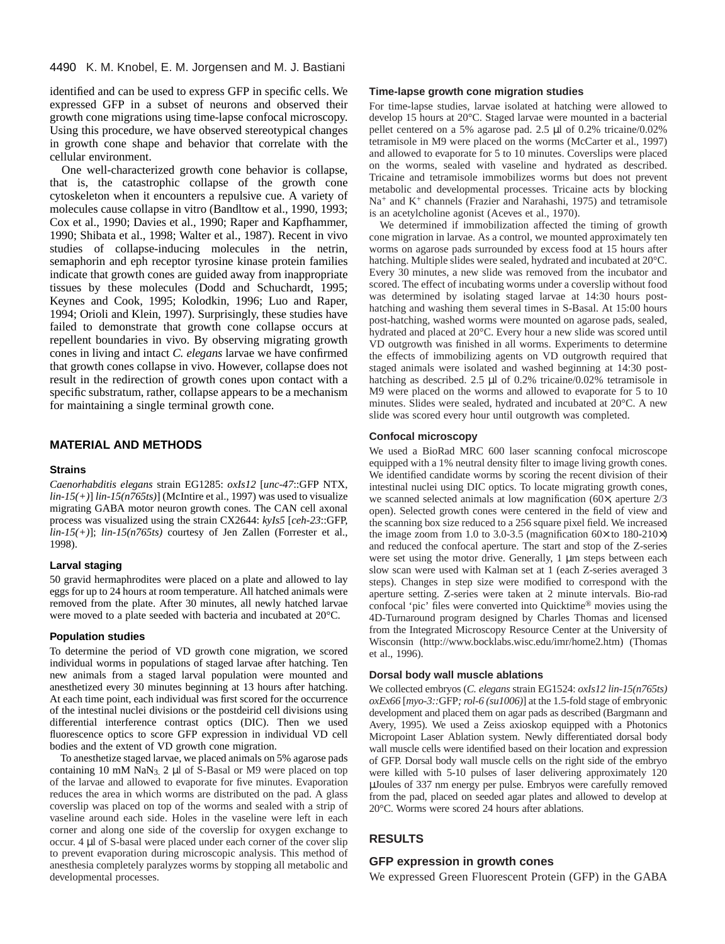identified and can be used to express GFP in specific cells. We expressed GFP in a subset of neurons and observed their growth cone migrations using time-lapse confocal microscopy. Using this procedure, we have observed stereotypical changes in growth cone shape and behavior that correlate with the cellular environment.

One well-characterized growth cone behavior is collapse, that is, the catastrophic collapse of the growth cone cytoskeleton when it encounters a repulsive cue. A variety of molecules cause collapse in vitro (Bandltow et al., 1990, 1993; Cox et al., 1990; Davies et al., 1990; Raper and Kapfhammer, 1990; Shibata et al., 1998; Walter et al., 1987). Recent in vivo studies of collapse-inducing molecules in the netrin, semaphorin and eph receptor tyrosine kinase protein families indicate that growth cones are guided away from inappropriate tissues by these molecules (Dodd and Schuchardt, 1995; Keynes and Cook, 1995; Kolodkin, 1996; Luo and Raper, 1994; Orioli and Klein, 1997). Surprisingly, these studies have failed to demonstrate that growth cone collapse occurs at repellent boundaries in vivo. By observing migrating growth cones in living and intact *C. elegans* larvae we have confirmed that growth cones collapse in vivo. However, collapse does not result in the redirection of growth cones upon contact with a specific substratum, rather, collapse appears to be a mechanism for maintaining a single terminal growth cone.

## **MATERIAL AND METHODS**

#### **Strains**

*Caenorhabditis elegans* strain EG1285: *oxIs12* [*unc-47*::GFP NTX, *lin-15(+)*] *lin-15(n765ts)*] (McIntire et al., 1997) was used to visualize migrating GABA motor neuron growth cones. The CAN cell axonal process was visualized using the strain CX2644: *kyIs5* [*ceh-23*::GFP, *lin-15(+)*]; *lin-15(n765ts)* courtesy of Jen Zallen (Forrester et al., 1998).

#### **Larval staging**

50 gravid hermaphrodites were placed on a plate and allowed to lay eggs for up to 24 hours at room temperature. All hatched animals were removed from the plate. After 30 minutes, all newly hatched larvae were moved to a plate seeded with bacteria and incubated at 20°C.

#### **Population studies**

To determine the period of VD growth cone migration, we scored individual worms in populations of staged larvae after hatching. Ten new animals from a staged larval population were mounted and anesthetized every 30 minutes beginning at 13 hours after hatching. At each time point, each individual was first scored for the occurrence of the intestinal nuclei divisions or the postdeirid cell divisions using differential interference contrast optics (DIC). Then we used fluorescence optics to score GFP expression in individual VD cell bodies and the extent of VD growth cone migration.

To anesthetize staged larvae, we placed animals on 5% agarose pads containing 10 mM NaN3. 2 µl of S-Basal or M9 were placed on top of the larvae and allowed to evaporate for five minutes. Evaporation reduces the area in which worms are distributed on the pad. A glass coverslip was placed on top of the worms and sealed with a strip of vaseline around each side. Holes in the vaseline were left in each corner and along one side of the coverslip for oxygen exchange to occur. 4 µl of S-basal were placed under each corner of the cover slip to prevent evaporation during microscopic analysis. This method of anesthesia completely paralyzes worms by stopping all metabolic and developmental processes.

#### **Time-lapse growth cone migration studies**

For time-lapse studies, larvae isolated at hatching were allowed to develop 15 hours at 20°C. Staged larvae were mounted in a bacterial pellet centered on a 5% agarose pad. 2.5 µl of 0.2% tricaine/0.02% tetramisole in M9 were placed on the worms (McCarter et al., 1997) and allowed to evaporate for 5 to 10 minutes. Coverslips were placed on the worms, sealed with vaseline and hydrated as described. Tricaine and tetramisole immobilizes worms but does not prevent metabolic and developmental processes. Tricaine acts by blocking Na<sup>+</sup> and K+ channels (Frazier and Narahashi, 1975) and tetramisole is an acetylcholine agonist (Aceves et al., 1970).

We determined if immobilization affected the timing of growth cone migration in larvae. As a control, we mounted approximately ten worms on agarose pads surrounded by excess food at 15 hours after hatching. Multiple slides were sealed, hydrated and incubated at 20°C. Every 30 minutes, a new slide was removed from the incubator and scored. The effect of incubating worms under a coverslip without food was determined by isolating staged larvae at 14:30 hours posthatching and washing them several times in S-Basal. At 15:00 hours post-hatching, washed worms were mounted on agarose pads, sealed, hydrated and placed at 20°C. Every hour a new slide was scored until VD outgrowth was finished in all worms. Experiments to determine the effects of immobilizing agents on VD outgrowth required that staged animals were isolated and washed beginning at 14:30 posthatching as described. 2.5 µl of 0.2% tricaine/0.02% tetramisole in M9 were placed on the worms and allowed to evaporate for 5 to 10 minutes. Slides were sealed, hydrated and incubated at 20°C. A new slide was scored every hour until outgrowth was completed.

#### **Confocal microscopy**

We used a BioRad MRC 600 laser scanning confocal microscope equipped with a 1% neutral density filter to image living growth cones. We identified candidate worms by scoring the recent division of their intestinal nuclei using DIC optics. To locate migrating growth cones, we scanned selected animals at low magnification (60×, aperture 2/3 open). Selected growth cones were centered in the field of view and the scanning box size reduced to a 256 square pixel field. We increased the image zoom from 1.0 to 3.0-3.5 (magnification  $60 \times$  to 180-210 $\times$ ) and reduced the confocal aperture. The start and stop of the Z-series were set using the motor drive. Generally, 1  $\mu$ m steps between each slow scan were used with Kalman set at 1 (each Z-series averaged 3 steps). Changes in step size were modified to correspond with the aperture setting. Z-series were taken at 2 minute intervals. Bio-rad confocal 'pic' files were converted into Quicktime® movies using the 4D-Turnaround program designed by Charles Thomas and licensed from the Integrated Microscopy Resource Center at the University of Wisconsin (http://www.bocklabs.wisc.edu/imr/home2.htm) (Thomas et al., 1996).

#### **Dorsal body wall muscle ablations**

We collected embryos (*C. elegans* strain EG1524: *oxIs12 lin-15(n765ts) oxEx66* [*myo-3::*GFP*; rol-6 (su1006)*] at the 1.5-fold stage of embryonic development and placed them on agar pads as described (Bargmann and Avery, 1995). We used a Zeiss axioskop equipped with a Photonics Micropoint Laser Ablation system. Newly differentiated dorsal body wall muscle cells were identified based on their location and expression of GFP. Dorsal body wall muscle cells on the right side of the embryo were killed with 5-10 pulses of laser delivering approximately 120 µJoules of 337 nm energy per pulse. Embryos were carefully removed from the pad, placed on seeded agar plates and allowed to develop at 20°C. Worms were scored 24 hours after ablations.

## **RESULTS**

#### **GFP expression in growth cones**

We expressed Green Fluorescent Protein (GFP) in the GABA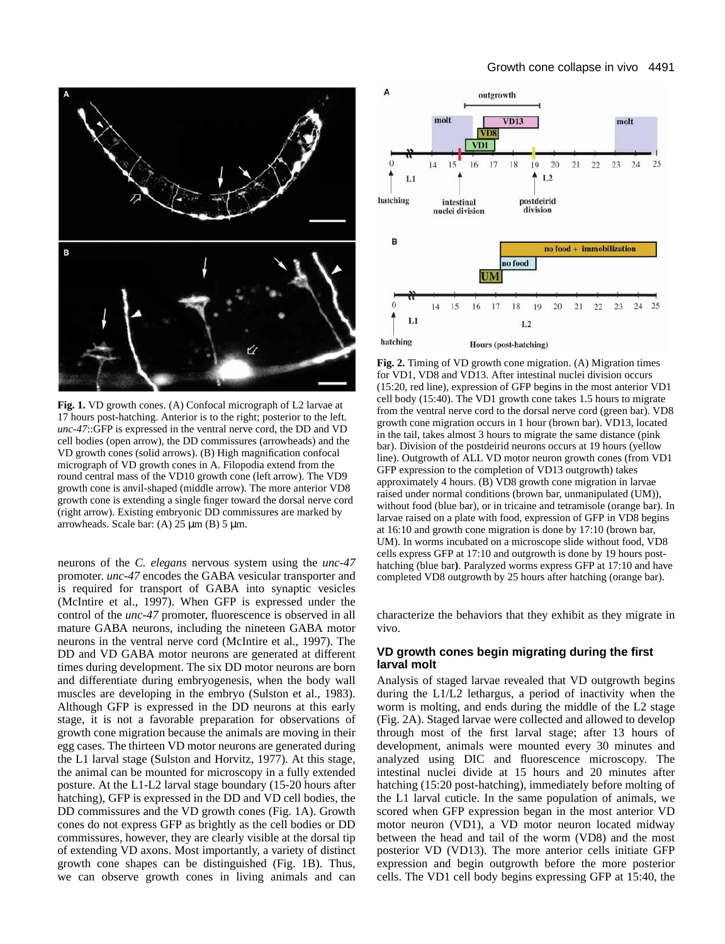

**Fig. 1.** VD growth cones. (A) Confocal micrograph of L2 larvae at 17 hours post-hatching. Anterior is to the right; posterior to the left. *unc-47*::GFP is expressed in the ventral nerve cord, the DD and VD cell bodies (open arrow), the DD commissures (arrowheads) and the VD growth cones (solid arrows). (B) High magnification confocal micrograph of VD growth cones in A. Filopodia extend from the round central mass of the VD10 growth cone (left arrow). The VD9 growth cone is anvil-shaped (middle arrow). The more anterior VD8 growth cone is extending a single finger toward the dorsal nerve cord (right arrow). Existing embryonic DD commissures are marked by arrowheads. Scale bar:  $(A)$  25  $\mu$ m  $(B)$  5  $\mu$ m.

neurons of the *C. elegans* nervous system using the *unc-47* promoter. *unc-47* encodes the GABA vesicular transporter and is required for transport of GABA into synaptic vesicles (McIntire et al., 1997). When GFP is expressed under the control of the *unc-47* promoter, fluorescence is observed in all mature GABA neurons, including the nineteen GABA motor neurons in the ventral nerve cord (McIntire et al., 1997). The DD and VD GABA motor neurons are generated at different times during development. The six DD motor neurons are born and differentiate during embryogenesis, when the body wall muscles are developing in the embryo (Sulston et al., 1983). Although GFP is expressed in the DD neurons at this early stage, it is not a favorable preparation for observations of growth cone migration because the animals are moving in their egg cases. The thirteen VD motor neurons are generated during the L1 larval stage (Sulston and Horvitz, 1977). At this stage, the animal can be mounted for microscopy in a fully extended posture. At the L1-L2 larval stage boundary (15-20 hours after hatching), GFP is expressed in the DD and VD cell bodies, the DD commissures and the VD growth cones (Fig. 1A). Growth cones do not express GFP as brightly as the cell bodies or DD commissures, however, they are clearly visible at the dorsal tip of extending VD axons. Most importantly, a variety of distinct growth cone shapes can be distinguished (Fig. 1B). Thus, we can observe growth cones in living animals and can



**Fig. 2.** Timing of VD growth cone migration. (A) Migration times for VD1, VD8 and VD13. After intestinal nuclei division occurs (15:20, red line), expression of GFP begins in the most anterior VD1 cell body (15:40). The VD1 growth cone takes 1.5 hours to migrate from the ventral nerve cord to the dorsal nerve cord (green bar). VD8 growth cone migration occurs in 1 hour (brown bar). VD13, located in the tail, takes almost 3 hours to migrate the same distance (pink bar). Division of the postdeirid neurons occurs at 19 hours (yellow line). Outgrowth of ALL VD motor neuron growth cones (from VD1 GFP expression to the completion of VD13 outgrowth) takes approximately 4 hours. (B) VD8 growth cone migration in larvae raised under normal conditions (brown bar, unmanipulated (UM)), without food (blue bar), or in tricaine and tetramisole (orange bar). In larvae raised on a plate with food, expression of GFP in VD8 begins at 16:10 and growth cone migration is done by 17:10 (brown bar, UM). In worms incubated on a microscope slide without food, VD8 cells express GFP at 17:10 and outgrowth is done by 19 hours posthatching (blue bar**)**. Paralyzed worms express GFP at 17:10 and have completed VD8 outgrowth by 25 hours after hatching (orange bar).

characterize the behaviors that they exhibit as they migrate in vivo.

# **VD growth cones begin migrating during the first larval molt**

Analysis of staged larvae revealed that VD outgrowth begins during the L1/L2 lethargus, a period of inactivity when the worm is molting, and ends during the middle of the L2 stage (Fig. 2A). Staged larvae were collected and allowed to develop through most of the first larval stage; after 13 hours of development, animals were mounted every 30 minutes and analyzed using DIC and fluorescence microscopy. The intestinal nuclei divide at 15 hours and 20 minutes after hatching (15:20 post-hatching), immediately before molting of the L1 larval cuticle. In the same population of animals, we scored when GFP expression began in the most anterior VD motor neuron (VD1), a VD motor neuron located midway between the head and tail of the worm (VD8) and the most posterior VD (VD13). The more anterior cells initiate GFP expression and begin outgrowth before the more posterior cells. The VD1 cell body begins expressing GFP at 15:40, the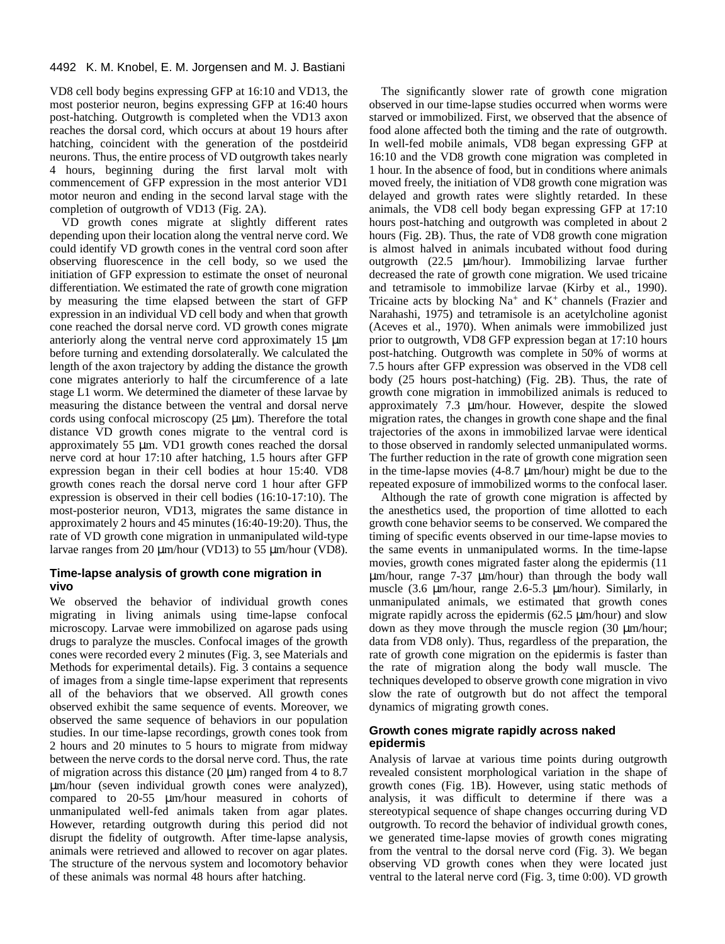VD8 cell body begins expressing GFP at 16:10 and VD13, the most posterior neuron, begins expressing GFP at 16:40 hours post-hatching. Outgrowth is completed when the VD13 axon reaches the dorsal cord, which occurs at about 19 hours after hatching, coincident with the generation of the postdeirid neurons. Thus, the entire process of VD outgrowth takes nearly 4 hours, beginning during the first larval molt with commencement of GFP expression in the most anterior VD1 motor neuron and ending in the second larval stage with the completion of outgrowth of VD13 (Fig. 2A).

VD growth cones migrate at slightly different rates depending upon their location along the ventral nerve cord. We could identify VD growth cones in the ventral cord soon after observing fluorescence in the cell body, so we used the initiation of GFP expression to estimate the onset of neuronal differentiation. We estimated the rate of growth cone migration by measuring the time elapsed between the start of GFP expression in an individual VD cell body and when that growth cone reached the dorsal nerve cord. VD growth cones migrate anteriorly along the ventral nerve cord approximately 15 µm before turning and extending dorsolaterally. We calculated the length of the axon trajectory by adding the distance the growth cone migrates anteriorly to half the circumference of a late stage L1 worm. We determined the diameter of these larvae by measuring the distance between the ventral and dorsal nerve cords using confocal microscopy (25 µm). Therefore the total distance VD growth cones migrate to the ventral cord is approximately 55 µm. VD1 growth cones reached the dorsal nerve cord at hour 17:10 after hatching, 1.5 hours after GFP expression began in their cell bodies at hour 15:40. VD8 growth cones reach the dorsal nerve cord 1 hour after GFP expression is observed in their cell bodies (16:10-17:10). The most-posterior neuron, VD13, migrates the same distance in approximately 2 hours and 45 minutes (16:40-19:20). Thus, the rate of VD growth cone migration in unmanipulated wild-type larvae ranges from 20 µm/hour (VD13) to 55 µm/hour (VD8).

# **Time-lapse analysis of growth cone migration in vivo**

We observed the behavior of individual growth cones migrating in living animals using time-lapse confocal microscopy. Larvae were immobilized on agarose pads using drugs to paralyze the muscles. Confocal images of the growth cones were recorded every 2 minutes (Fig. 3, see Materials and Methods for experimental details). Fig. 3 contains a sequence of images from a single time-lapse experiment that represents all of the behaviors that we observed. All growth cones observed exhibit the same sequence of events. Moreover, we observed the same sequence of behaviors in our population studies. In our time-lapse recordings, growth cones took from 2 hours and 20 minutes to 5 hours to migrate from midway between the nerve cords to the dorsal nerve cord. Thus, the rate of migration across this distance  $(20 \mu m)$  ranged from 4 to 8.7 µm/hour (seven individual growth cones were analyzed), compared to 20-55 µm/hour measured in cohorts of unmanipulated well-fed animals taken from agar plates. However, retarding outgrowth during this period did not disrupt the fidelity of outgrowth. After time-lapse analysis, animals were retrieved and allowed to recover on agar plates. The structure of the nervous system and locomotory behavior of these animals was normal 48 hours after hatching.

The significantly slower rate of growth cone migration observed in our time-lapse studies occurred when worms were starved or immobilized. First, we observed that the absence of food alone affected both the timing and the rate of outgrowth. In well-fed mobile animals, VD8 began expressing GFP at 16:10 and the VD8 growth cone migration was completed in 1 hour. In the absence of food, but in conditions where animals moved freely, the initiation of VD8 growth cone migration was delayed and growth rates were slightly retarded. In these animals, the VD8 cell body began expressing GFP at 17:10 hours post-hatching and outgrowth was completed in about 2 hours (Fig. 2B). Thus, the rate of VD8 growth cone migration is almost halved in animals incubated without food during outgrowth (22.5 µm/hour). Immobilizing larvae further decreased the rate of growth cone migration. We used tricaine and tetramisole to immobilize larvae (Kirby et al., 1990). Tricaine acts by blocking  $Na^+$  and  $K^+$  channels (Frazier and Narahashi, 1975) and tetramisole is an acetylcholine agonist (Aceves et al., 1970). When animals were immobilized just prior to outgrowth, VD8 GFP expression began at 17:10 hours post-hatching. Outgrowth was complete in 50% of worms at 7.5 hours after GFP expression was observed in the VD8 cell body (25 hours post-hatching) (Fig. 2B). Thus, the rate of growth cone migration in immobilized animals is reduced to approximately 7.3 µm/hour. However, despite the slowed migration rates, the changes in growth cone shape and the final trajectories of the axons in immobilized larvae were identical to those observed in randomly selected unmanipulated worms. The further reduction in the rate of growth cone migration seen in the time-lapse movies  $(4-8.7 \mu m/h$ our) might be due to the repeated exposure of immobilized worms to the confocal laser.

Although the rate of growth cone migration is affected by the anesthetics used, the proportion of time allotted to each growth cone behavior seems to be conserved. We compared the timing of specific events observed in our time-lapse movies to the same events in unmanipulated worms. In the time-lapse movies, growth cones migrated faster along the epidermis (11 µm/hour, range 7-37 µm/hour) than through the body wall muscle (3.6 µm/hour, range 2.6-5.3 µm/hour). Similarly, in unmanipulated animals, we estimated that growth cones migrate rapidly across the epidermis (62.5 µm/hour) and slow down as they move through the muscle region (30  $\mu$ m/hour; data from VD8 only). Thus, regardless of the preparation, the rate of growth cone migration on the epidermis is faster than the rate of migration along the body wall muscle. The techniques developed to observe growth cone migration in vivo slow the rate of outgrowth but do not affect the temporal dynamics of migrating growth cones.

# **Growth cones migrate rapidly across naked epidermis**

Analysis of larvae at various time points during outgrowth revealed consistent morphological variation in the shape of growth cones (Fig. 1B). However, using static methods of analysis, it was difficult to determine if there was a stereotypical sequence of shape changes occurring during VD outgrowth. To record the behavior of individual growth cones, we generated time-lapse movies of growth cones migrating from the ventral to the dorsal nerve cord (Fig. 3). We began observing VD growth cones when they were located just ventral to the lateral nerve cord (Fig. 3, time 0:00). VD growth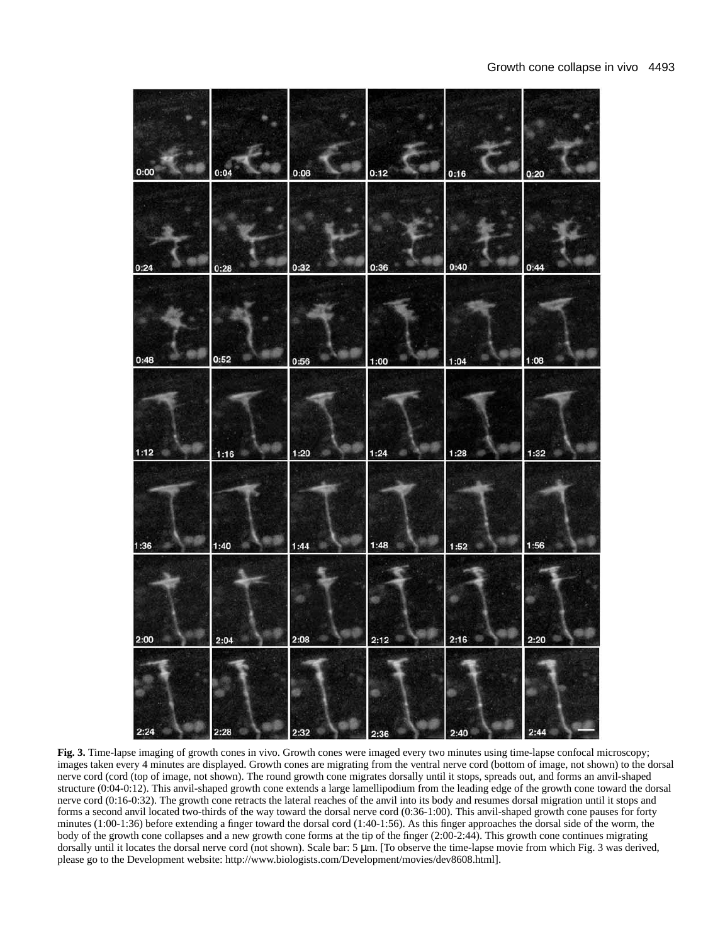| 0:00 | 0:04 | 0:08 | 0:12 | 0:16 | 0:20 |
|------|------|------|------|------|------|
| 0:24 | 0:28 | 0:32 | 0:36 | 0:40 | 0:44 |
| 0:48 | 0:52 | 0:56 | 1:00 | 1:04 | 1:08 |
| 1:12 | 1:16 | 1:20 | 1:24 | 1:28 | 1:32 |
| 1:36 | 1:40 | 1:44 | 1:48 | 1:52 | 1:56 |
| 2:00 | 2:04 | 2:08 | 2:12 | 2:16 | 2:20 |
| 2:2  |      |      |      |      | 2:4  |

**Fig. 3.** Time-lapse imaging of growth cones in vivo. Growth cones were imaged every two minutes using time-lapse confocal microscopy; images taken every 4 minutes are displayed. Growth cones are migrating from the ventral nerve cord (bottom of image, not shown) to the dorsal nerve cord (cord (top of image, not shown). The round growth cone migrates dorsally until it stops, spreads out, and forms an anvil-shaped structure (0:04-0:12). This anvil-shaped growth cone extends a large lamellipodium from the leading edge of the growth cone toward the dorsal nerve cord (0:16-0:32). The growth cone retracts the lateral reaches of the anvil into its body and resumes dorsal migration until it stops and forms a second anvil located two-thirds of the way toward the dorsal nerve cord (0:36-1:00). This anvil-shaped growth cone pauses for forty minutes (1:00-1:36) before extending a finger toward the dorsal cord (1:40-1:56). As this finger approaches the dorsal side of the worm, the body of the growth cone collapses and a new growth cone forms at the tip of the finger (2:00-2:44). This growth cone continues migrating dorsally until it locates the dorsal nerve cord (not shown). Scale bar: 5 µm. [To observe the time-lapse movie from which Fig. 3 was derived, please go to the Development website: http://www.biologists.com/Development/movies/dev8608.html].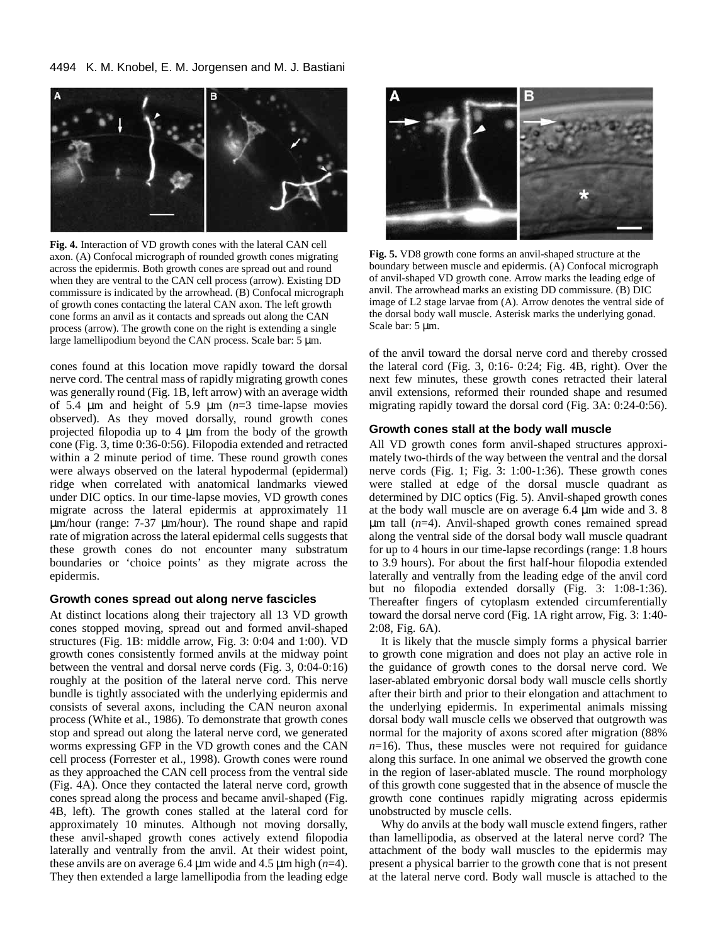

**Fig. 4.** Interaction of VD growth cones with the lateral CAN cell axon. (A) Confocal micrograph of rounded growth cones migrating across the epidermis. Both growth cones are spread out and round when they are ventral to the CAN cell process (arrow). Existing DD commissure is indicated by the arrowhead. (B) Confocal micrograph of growth cones contacting the lateral CAN axon. The left growth cone forms an anvil as it contacts and spreads out along the CAN process (arrow). The growth cone on the right is extending a single large lamellipodium beyond the CAN process. Scale bar: 5 µm.

cones found at this location move rapidly toward the dorsal nerve cord. The central mass of rapidly migrating growth cones was generally round (Fig. 1B, left arrow) with an average width of 5.4  $\mu$ m and height of 5.9  $\mu$ m ( $n=3$  time-lapse movies observed). As they moved dorsally, round growth cones projected filopodia up to 4 µm from the body of the growth cone (Fig. 3, time 0:36-0:56). Filopodia extended and retracted within a 2 minute period of time. These round growth cones were always observed on the lateral hypodermal (epidermal) ridge when correlated with anatomical landmarks viewed under DIC optics. In our time-lapse movies, VD growth cones migrate across the lateral epidermis at approximately 11 µm/hour (range: 7-37 µm/hour). The round shape and rapid rate of migration across the lateral epidermal cells suggests that these growth cones do not encounter many substratum boundaries or 'choice points' as they migrate across the epidermis.

# **Growth cones spread out along nerve fascicles**

At distinct locations along their trajectory all 13 VD growth cones stopped moving, spread out and formed anvil-shaped structures (Fig. 1B: middle arrow, Fig. 3: 0:04 and 1:00). VD growth cones consistently formed anvils at the midway point between the ventral and dorsal nerve cords (Fig. 3, 0:04-0:16) roughly at the position of the lateral nerve cord. This nerve bundle is tightly associated with the underlying epidermis and consists of several axons, including the CAN neuron axonal process (White et al., 1986). To demonstrate that growth cones stop and spread out along the lateral nerve cord, we generated worms expressing GFP in the VD growth cones and the CAN cell process (Forrester et al., 1998). Growth cones were round as they approached the CAN cell process from the ventral side (Fig. 4A). Once they contacted the lateral nerve cord, growth cones spread along the process and became anvil-shaped (Fig. 4B, left). The growth cones stalled at the lateral cord for approximately 10 minutes. Although not moving dorsally, these anvil-shaped growth cones actively extend filopodia laterally and ventrally from the anvil. At their widest point, these anvils are on average  $6.4 \mu m$  wide and  $4.5 \mu m$  high  $(n=4)$ . They then extended a large lamellipodia from the leading edge



**Fig. 5.** VD8 growth cone forms an anvil-shaped structure at the boundary between muscle and epidermis. (A) Confocal micrograph of anvil-shaped VD growth cone. Arrow marks the leading edge of anvil. The arrowhead marks an existing DD commissure. (B) DIC image of L2 stage larvae from (A). Arrow denotes the ventral side of the dorsal body wall muscle. Asterisk marks the underlying gonad. Scale bar: 5  $\mu$ m.

of the anvil toward the dorsal nerve cord and thereby crossed the lateral cord (Fig. 3, 0:16- 0:24; Fig. 4B, right). Over the next few minutes, these growth cones retracted their lateral anvil extensions, reformed their rounded shape and resumed migrating rapidly toward the dorsal cord (Fig. 3A: 0:24-0:56).

### **Growth cones stall at the body wall muscle**

All VD growth cones form anvil-shaped structures approximately two-thirds of the way between the ventral and the dorsal nerve cords (Fig. 1; Fig. 3: 1:00-1:36). These growth cones were stalled at edge of the dorsal muscle quadrant as determined by DIC optics (Fig. 5). Anvil-shaped growth cones at the body wall muscle are on average 6.4 µm wide and 3. 8 µm tall (*n*=4). Anvil-shaped growth cones remained spread along the ventral side of the dorsal body wall muscle quadrant for up to 4 hours in our time-lapse recordings (range: 1.8 hours to 3.9 hours). For about the first half-hour filopodia extended laterally and ventrally from the leading edge of the anvil cord but no filopodia extended dorsally (Fig. 3: 1:08-1:36). Thereafter fingers of cytoplasm extended circumferentially toward the dorsal nerve cord (Fig. 1A right arrow, Fig. 3: 1:40- 2:08, Fig. 6A).

It is likely that the muscle simply forms a physical barrier to growth cone migration and does not play an active role in the guidance of growth cones to the dorsal nerve cord. We laser-ablated embryonic dorsal body wall muscle cells shortly after their birth and prior to their elongation and attachment to the underlying epidermis. In experimental animals missing dorsal body wall muscle cells we observed that outgrowth was normal for the majority of axons scored after migration (88%  $n=16$ ). Thus, these muscles were not required for guidance along this surface. In one animal we observed the growth cone in the region of laser-ablated muscle. The round morphology of this growth cone suggested that in the absence of muscle the growth cone continues rapidly migrating across epidermis unobstructed by muscle cells.

Why do anvils at the body wall muscle extend fingers, rather than lamellipodia, as observed at the lateral nerve cord? The attachment of the body wall muscles to the epidermis may present a physical barrier to the growth cone that is not present at the lateral nerve cord. Body wall muscle is attached to the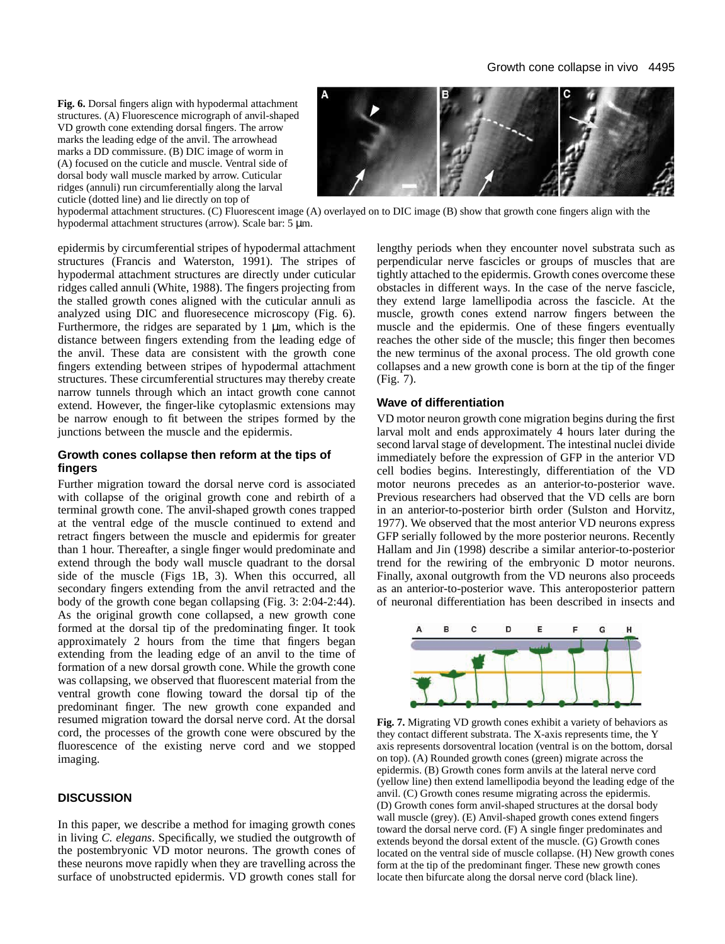**Fig. 6.** Dorsal fingers align with hypodermal attachment structures. (A) Fluorescence micrograph of anvil-shaped VD growth cone extending dorsal fingers. The arrow marks the leading edge of the anvil. The arrowhead marks a DD commissure. (B) DIC image of worm in (A) focused on the cuticle and muscle. Ventral side of dorsal body wall muscle marked by arrow. Cuticular ridges (annuli) run circumferentially along the larval cuticle (dotted line) and lie directly on top of



hypodermal attachment structures. (C) Fluorescent image (A) overlayed on to DIC image (B) show that growth cone fingers align with the hypodermal attachment structures (arrow). Scale bar: 5 µm.

epidermis by circumferential stripes of hypodermal attachment structures (Francis and Waterston, 1991). The stripes of hypodermal attachment structures are directly under cuticular ridges called annuli (White, 1988). The fingers projecting from the stalled growth cones aligned with the cuticular annuli as analyzed using DIC and fluoresecence microscopy (Fig. 6). Furthermore, the ridges are separated by  $1 \mu m$ , which is the distance between fingers extending from the leading edge of the anvil. These data are consistent with the growth cone fingers extending between stripes of hypodermal attachment structures. These circumferential structures may thereby create narrow tunnels through which an intact growth cone cannot extend. However, the finger-like cytoplasmic extensions may be narrow enough to fit between the stripes formed by the junctions between the muscle and the epidermis.

## **Growth cones collapse then reform at the tips of fingers**

Further migration toward the dorsal nerve cord is associated with collapse of the original growth cone and rebirth of a terminal growth cone. The anvil-shaped growth cones trapped at the ventral edge of the muscle continued to extend and retract fingers between the muscle and epidermis for greater than 1 hour. Thereafter, a single finger would predominate and extend through the body wall muscle quadrant to the dorsal side of the muscle (Figs 1B, 3). When this occurred, all secondary fingers extending from the anvil retracted and the body of the growth cone began collapsing (Fig. 3: 2:04-2:44). As the original growth cone collapsed, a new growth cone formed at the dorsal tip of the predominating finger. It took approximately 2 hours from the time that fingers began extending from the leading edge of an anvil to the time of formation of a new dorsal growth cone. While the growth cone was collapsing, we observed that fluorescent material from the ventral growth cone flowing toward the dorsal tip of the predominant finger. The new growth cone expanded and resumed migration toward the dorsal nerve cord. At the dorsal cord, the processes of the growth cone were obscured by the fluorescence of the existing nerve cord and we stopped imaging.

## **DISCUSSION**

In this paper, we describe a method for imaging growth cones in living *C. elegans*. Specifically, we studied the outgrowth of the postembryonic VD motor neurons. The growth cones of these neurons move rapidly when they are travelling across the surface of unobstructed epidermis. VD growth cones stall for

lengthy periods when they encounter novel substrata such as perpendicular nerve fascicles or groups of muscles that are tightly attached to the epidermis. Growth cones overcome these obstacles in different ways. In the case of the nerve fascicle, they extend large lamellipodia across the fascicle. At the muscle, growth cones extend narrow fingers between the muscle and the epidermis. One of these fingers eventually reaches the other side of the muscle; this finger then becomes the new terminus of the axonal process. The old growth cone collapses and a new growth cone is born at the tip of the finger (Fig. 7).

#### **Wave of differentiation**

VD motor neuron growth cone migration begins during the first larval molt and ends approximately 4 hours later during the second larval stage of development. The intestinal nuclei divide immediately before the expression of GFP in the anterior VD cell bodies begins. Interestingly, differentiation of the VD motor neurons precedes as an anterior-to-posterior wave. Previous researchers had observed that the VD cells are born in an anterior-to-posterior birth order (Sulston and Horvitz, 1977). We observed that the most anterior VD neurons express GFP serially followed by the more posterior neurons. Recently Hallam and Jin (1998) describe a similar anterior-to-posterior trend for the rewiring of the embryonic D motor neurons. Finally, axonal outgrowth from the VD neurons also proceeds as an anterior-to-posterior wave. This anteroposterior pattern of neuronal differentiation has been described in insects and



**Fig. 7.** Migrating VD growth cones exhibit a variety of behaviors as they contact different substrata. The X-axis represents time, the Y axis represents dorsoventral location (ventral is on the bottom, dorsal on top). (A) Rounded growth cones (green) migrate across the epidermis. (B) Growth cones form anvils at the lateral nerve cord (yellow line) then extend lamellipodia beyond the leading edge of the anvil. (C) Growth cones resume migrating across the epidermis. (D) Growth cones form anvil-shaped structures at the dorsal body wall muscle (grey). (E) Anvil-shaped growth cones extend fingers toward the dorsal nerve cord. (F) A single finger predominates and extends beyond the dorsal extent of the muscle. (G) Growth cones located on the ventral side of muscle collapse. (H) New growth cones form at the tip of the predominant finger. These new growth cones locate then bifurcate along the dorsal nerve cord (black line).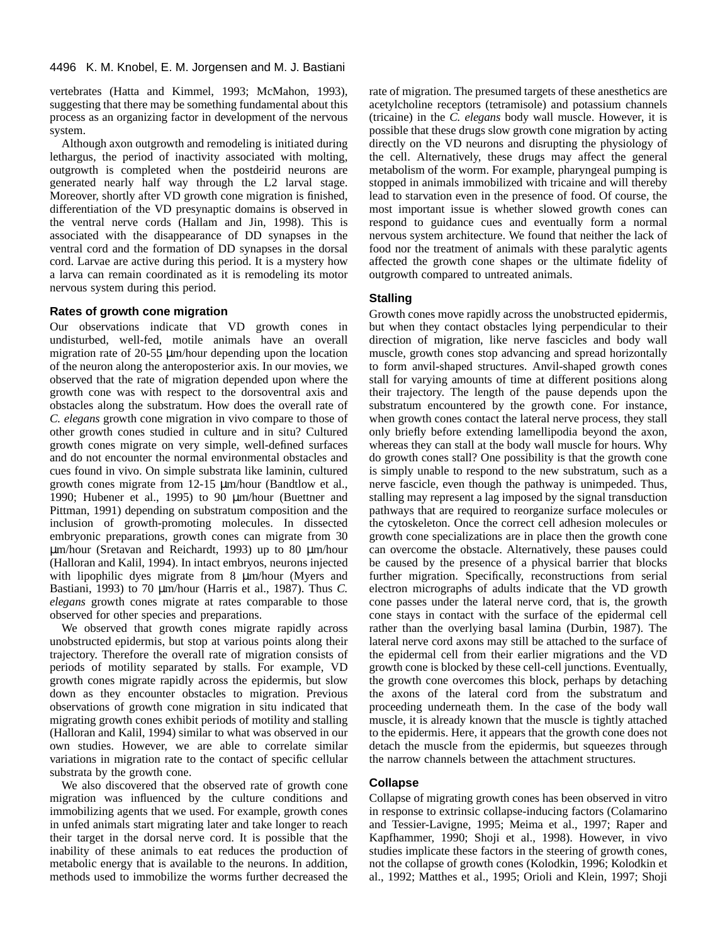vertebrates (Hatta and Kimmel, 1993; McMahon, 1993), suggesting that there may be something fundamental about this process as an organizing factor in development of the nervous system.

Although axon outgrowth and remodeling is initiated during lethargus, the period of inactivity associated with molting, outgrowth is completed when the postdeirid neurons are generated nearly half way through the L2 larval stage. Moreover, shortly after VD growth cone migration is finished, differentiation of the VD presynaptic domains is observed in the ventral nerve cords (Hallam and Jin, 1998). This is associated with the disappearance of DD synapses in the ventral cord and the formation of DD synapses in the dorsal cord. Larvae are active during this period. It is a mystery how a larva can remain coordinated as it is remodeling its motor nervous system during this period.

## **Rates of growth cone migration**

Our observations indicate that VD growth cones in undisturbed, well-fed, motile animals have an overall migration rate of 20-55 µm/hour depending upon the location of the neuron along the anteroposterior axis. In our movies, we observed that the rate of migration depended upon where the growth cone was with respect to the dorsoventral axis and obstacles along the substratum. How does the overall rate of *C. elegans* growth cone migration in vivo compare to those of other growth cones studied in culture and in situ? Cultured growth cones migrate on very simple, well-defined surfaces and do not encounter the normal environmental obstacles and cues found in vivo. On simple substrata like laminin, cultured growth cones migrate from 12-15 µm/hour (Bandtlow et al., 1990; Hubener et al., 1995) to 90 µm/hour (Buettner and Pittman, 1991) depending on substratum composition and the inclusion of growth-promoting molecules. In dissected embryonic preparations, growth cones can migrate from 30 µm/hour (Sretavan and Reichardt, 1993) up to 80 µm/hour (Halloran and Kalil, 1994). In intact embryos, neurons injected with lipophilic dyes migrate from 8  $\mu$ m/hour (Myers and Bastiani, 1993) to 70 µm/hour (Harris et al., 1987). Thus *C. elegans* growth cones migrate at rates comparable to those observed for other species and preparations.

We observed that growth cones migrate rapidly across unobstructed epidermis, but stop at various points along their trajectory. Therefore the overall rate of migration consists of periods of motility separated by stalls. For example, VD growth cones migrate rapidly across the epidermis, but slow down as they encounter obstacles to migration. Previous observations of growth cone migration in situ indicated that migrating growth cones exhibit periods of motility and stalling (Halloran and Kalil, 1994) similar to what was observed in our own studies. However, we are able to correlate similar variations in migration rate to the contact of specific cellular substrata by the growth cone.

We also discovered that the observed rate of growth cone migration was influenced by the culture conditions and immobilizing agents that we used. For example, growth cones in unfed animals start migrating later and take longer to reach their target in the dorsal nerve cord. It is possible that the inability of these animals to eat reduces the production of metabolic energy that is available to the neurons. In addition, methods used to immobilize the worms further decreased the

rate of migration. The presumed targets of these anesthetics are acetylcholine receptors (tetramisole) and potassium channels (tricaine) in the *C. elegans* body wall muscle. However, it is possible that these drugs slow growth cone migration by acting directly on the VD neurons and disrupting the physiology of the cell. Alternatively, these drugs may affect the general metabolism of the worm. For example, pharyngeal pumping is stopped in animals immobilized with tricaine and will thereby lead to starvation even in the presence of food. Of course, the most important issue is whether slowed growth cones can respond to guidance cues and eventually form a normal nervous system architecture. We found that neither the lack of food nor the treatment of animals with these paralytic agents affected the growth cone shapes or the ultimate fidelity of outgrowth compared to untreated animals.

# **Stalling**

Growth cones move rapidly across the unobstructed epidermis, but when they contact obstacles lying perpendicular to their direction of migration, like nerve fascicles and body wall muscle, growth cones stop advancing and spread horizontally to form anvil-shaped structures. Anvil-shaped growth cones stall for varying amounts of time at different positions along their trajectory. The length of the pause depends upon the substratum encountered by the growth cone. For instance, when growth cones contact the lateral nerve process, they stall only briefly before extending lamellipodia beyond the axon, whereas they can stall at the body wall muscle for hours. Why do growth cones stall? One possibility is that the growth cone is simply unable to respond to the new substratum, such as a nerve fascicle, even though the pathway is unimpeded. Thus, stalling may represent a lag imposed by the signal transduction pathways that are required to reorganize surface molecules or the cytoskeleton. Once the correct cell adhesion molecules or growth cone specializations are in place then the growth cone can overcome the obstacle. Alternatively, these pauses could be caused by the presence of a physical barrier that blocks further migration. Specifically, reconstructions from serial electron micrographs of adults indicate that the VD growth cone passes under the lateral nerve cord, that is, the growth cone stays in contact with the surface of the epidermal cell rather than the overlying basal lamina (Durbin, 1987). The lateral nerve cord axons may still be attached to the surface of the epidermal cell from their earlier migrations and the VD growth cone is blocked by these cell-cell junctions. Eventually, the growth cone overcomes this block, perhaps by detaching the axons of the lateral cord from the substratum and proceeding underneath them. In the case of the body wall muscle, it is already known that the muscle is tightly attached to the epidermis. Here, it appears that the growth cone does not detach the muscle from the epidermis, but squeezes through the narrow channels between the attachment structures.

## **Collapse**

Collapse of migrating growth cones has been observed in vitro in response to extrinsic collapse-inducing factors (Colamarino and Tessier-Lavigne, 1995; Meima et al., 1997; Raper and Kapfhammer, 1990; Shoji et al., 1998). However, in vivo studies implicate these factors in the steering of growth cones, not the collapse of growth cones (Kolodkin, 1996; Kolodkin et al., 1992; Matthes et al., 1995; Orioli and Klein, 1997; Shoji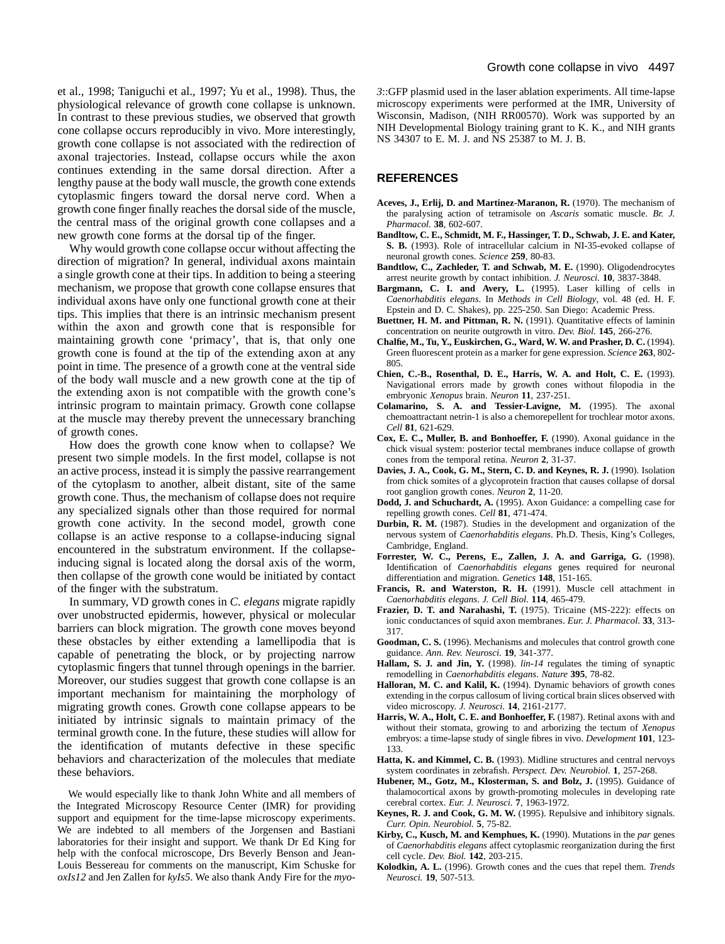et al., 1998; Taniguchi et al., 1997; Yu et al., 1998). Thus, the physiological relevance of growth cone collapse is unknown. In contrast to these previous studies, we observed that growth cone collapse occurs reproducibly in vivo. More interestingly, growth cone collapse is not associated with the redirection of axonal trajectories. Instead, collapse occurs while the axon continues extending in the same dorsal direction. After a lengthy pause at the body wall muscle, the growth cone extends cytoplasmic fingers toward the dorsal nerve cord. When a growth cone finger finally reaches the dorsal side of the muscle, the central mass of the original growth cone collapses and a new growth cone forms at the dorsal tip of the finger.

Why would growth cone collapse occur without affecting the direction of migration? In general, individual axons maintain a single growth cone at their tips. In addition to being a steering mechanism, we propose that growth cone collapse ensures that individual axons have only one functional growth cone at their tips. This implies that there is an intrinsic mechanism present within the axon and growth cone that is responsible for maintaining growth cone 'primacy', that is, that only one growth cone is found at the tip of the extending axon at any point in time. The presence of a growth cone at the ventral side of the body wall muscle and a new growth cone at the tip of the extending axon is not compatible with the growth cone's intrinsic program to maintain primacy. Growth cone collapse at the muscle may thereby prevent the unnecessary branching of growth cones.

How does the growth cone know when to collapse? We present two simple models. In the first model, collapse is not an active process, instead it is simply the passive rearrangement of the cytoplasm to another, albeit distant, site of the same growth cone. Thus, the mechanism of collapse does not require any specialized signals other than those required for normal growth cone activity. In the second model, growth cone collapse is an active response to a collapse-inducing signal encountered in the substratum environment. If the collapseinducing signal is located along the dorsal axis of the worm, then collapse of the growth cone would be initiated by contact of the finger with the substratum.

In summary, VD growth cones in *C. elegans* migrate rapidly over unobstructed epidermis, however, physical or molecular barriers can block migration. The growth cone moves beyond these obstacles by either extending a lamellipodia that is capable of penetrating the block, or by projecting narrow cytoplasmic fingers that tunnel through openings in the barrier. Moreover, our studies suggest that growth cone collapse is an important mechanism for maintaining the morphology of migrating growth cones. Growth cone collapse appears to be initiated by intrinsic signals to maintain primacy of the terminal growth cone. In the future, these studies will allow for the identification of mutants defective in these specific behaviors and characterization of the molecules that mediate these behaviors.

We would especially like to thank John White and all members of the Integrated Microscopy Resource Center (IMR) for providing support and equipment for the time-lapse microscopy experiments. We are indebted to all members of the Jorgensen and Bastiani laboratories for their insight and support. We thank Dr Ed King for help with the confocal microscope, Drs Beverly Benson and Jean-Louis Bessereau for comments on the manuscript, Kim Schuske for *oxIs12* and Jen Zallen for *kyIs5*. We also thank Andy Fire for the *myo-* *3*::GFP plasmid used in the laser ablation experiments. All time-lapse microscopy experiments were performed at the IMR, University of Wisconsin, Madison, (NIH RR00570). Work was supported by an NIH Developmental Biology training grant to K. K., and NIH grants NS 34307 to E. M. J. and NS 25387 to M. J. B.

## **REFERENCES**

- **Aceves, J., Erlij, D. and Martinez-Maranon, R.** (1970). The mechanism of the paralysing action of tetramisole on *Ascaris* somatic muscle. *Br. J. Pharmacol.* **38**, 602-607.
- **Bandltow, C. E., Schmidt, M. F., Hassinger, T. D., Schwab, J. E. and Kater, S. B.** (1993). Role of intracellular calcium in NI-35-evoked collapse of neuronal growth cones. *Science* **259**, 80-83.
- **Bandtlow, C., Zachleder, T. and Schwab, M. E.** (1990). Oligodendrocytes arrest neurite growth by contact inhibition. *J. Neurosci.* **10**, 3837-3848.
- **Bargmann, C. I. and Avery, L.** (1995). Laser killing of cells in *Caenorhabditis elegans*. In *Methods in Cell Biology*, vol. 48 (ed. H. F. Epstein and D. C. Shakes), pp. 225-250. San Diego: Academic Press.
- **Buettner, H. M. and Pittman, R. N.** (1991). Quantitative effects of laminin concentration on neurite outgrowth in vitro. *Dev. Biol.* **145**, 266-276.
- **Chalfie, M., Tu, Y., Euskirchen, G., Ward, W. W. and Prasher, D. C.** (1994). Green fluorescent protein as a marker for gene expression. *Science* **263**, 802- 805.
- **Chien, C.-B., Rosenthal, D. E., Harris, W. A. and Holt, C. E.** (1993). Navigational errors made by growth cones without filopodia in the embryonic *Xenopus* brain. *Neuron* **11**, 237-251.
- **Colamarino, S. A. and Tessier-Lavigne, M.** (1995). The axonal chemoattractant netrin-1 is also a chemorepellent for trochlear motor axons. *Cell* **81**, 621-629.
- **Cox, E. C., Muller, B. and Bonhoeffer, F.** (1990). Axonal guidance in the chick visual system: posterior tectal membranes induce collapse of growth cones from the temporal retina. *Neuron* **2**, 31-37.
- **Davies, J. A., Cook, G. M., Stern, C. D. and Keynes, R. J.** (1990). Isolation from chick somites of a glycoprotein fraction that causes collapse of dorsal root ganglion growth cones. *Neuron* **2**, 11-20.
- **Dodd, J. and Schuchardt, A.** (1995). Axon Guidance: a compelling case for repelling growth cones. *Cell* **81**, 471-474.
- **Durbin, R. M.** (1987). Studies in the development and organization of the nervous system of *Caenorhabditis elegans*. Ph.D. Thesis, King's Colleges, Cambridge, England.
- **Forrester, W. C., Perens, E., Zallen, J. A. and Garriga, G.** (1998). Identification of *Caenorhabditis elegans* genes required for neuronal differentiation and migration. *Genetics* **148**, 151-165.
- **Francis, R. and Waterston, R. H.** (1991). Muscle cell attachment in *Caenorhabditis elegans*. *J. Cell Biol.* **114**, 465-479.
- **Frazier, D. T. and Narahashi, T.** (1975). Tricaine (MS-222): effects on ionic conductances of squid axon membranes. *Eur. J. Pharmacol.* **33**, 313- 317.
- **Goodman, C. S.** (1996). Mechanisms and molecules that control growth cone guidance. *Ann. Rev. Neurosci.* **19**, 341-377.
- **Hallam, S. J. and Jin, Y.** (1998). *lin-14* regulates the timing of synaptic remodelling in *Caenorhabditis elegans*. *Nature* **395**, 78-82.
- Halloran, M. C. and Kalil, K. (1994). Dynamic behaviors of growth cones extending in the corpus callosum of living cortical brain slices observed with video microscopy. *J. Neurosci.* **14**, 2161-2177.
- **Harris, W. A., Holt, C. E. and Bonhoeffer, F.** (1987). Retinal axons with and without their stomata, growing to and arborizing the tectum of *Xenopus* embryos: a time-lapse study of single fibres in vivo. *Development* **101**, 123- 133.
- **Hatta, K. and Kimmel, C. B.** (1993). Midline structures and central nervoys system coordinates in zebrafish. *Perspect. Dev. Neurobiol.* **1**, 257-268.
- **Hubener, M., Gotz, M., Klosterman, S. and Bolz, J.** (1995). Guidance of thalamocortical axons by growth-promoting molecules in developing rate cerebral cortex. *Eur. J. Neurosci.* **7**, 1963-1972.
- **Keynes, R. J. and Cook, G. M. W.** (1995). Repulsive and inhibitory signals. *Curr. Opin. Neurobiol.* **5**, 75-82.
- **Kirby, C., Kusch, M. and Kemphues, K.** (1990). Mutations in the *par* genes of *Caenorhabditis elegans* affect cytoplasmic reorganization during the first cell cycle. *Dev. Biol.* **142**, 203-215.
- **Kolodkin, A. L.** (1996). Growth cones and the cues that repel them. *Trends Neurosci.* **19**, 507-513.